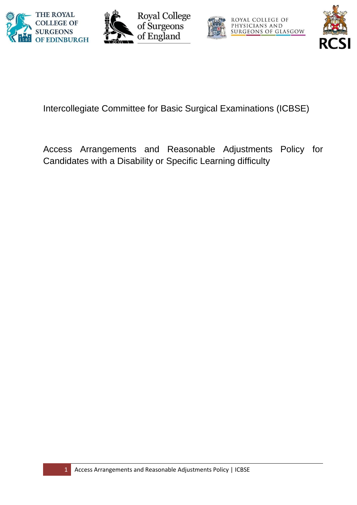







Intercollegiate Committee for Basic Surgical Examinations (ICBSE)

Access Arrangements and Reasonable Adjustments Policy for Candidates with a Disability or Specific Learning difficulty

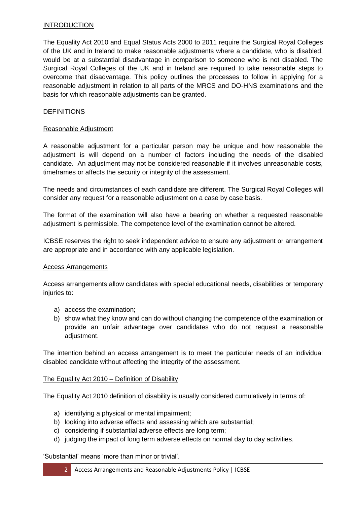## **INTRODUCTION**

The Equality Act 2010 and Equal Status Acts 2000 to 2011 require the Surgical Royal Colleges of the UK and in Ireland to make reasonable adjustments where a candidate, who is disabled, would be at a substantial disadvantage in comparison to someone who is not disabled. The Surgical Royal Colleges of the UK and in Ireland are required to take reasonable steps to overcome that disadvantage. This policy outlines the processes to follow in applying for a reasonable adjustment in relation to all parts of the MRCS and DO-HNS examinations and the basis for which reasonable adjustments can be granted.

### **DEFINITIONS**

### Reasonable Adjustment

A reasonable adjustment for a particular person may be unique and how reasonable the adjustment is will depend on a number of factors including the needs of the disabled candidate. An adjustment may not be considered reasonable if it involves unreasonable costs, timeframes or affects the security or integrity of the assessment.

The needs and circumstances of each candidate are different. The Surgical Royal Colleges will consider any request for a reasonable adjustment on a case by case basis.

The format of the examination will also have a bearing on whether a requested reasonable adjustment is permissible. The competence level of the examination cannot be altered.

ICBSE reserves the right to seek independent advice to ensure any adjustment or arrangement are appropriate and in accordance with any applicable legislation.

### Access Arrangements

Access arrangements allow candidates with special educational needs, disabilities or temporary injuries to:

- a) access the examination;
- b) show what they know and can do without changing the competence of the examination or provide an unfair advantage over candidates who do not request a reasonable adjustment.

The intention behind an access arrangement is to meet the particular needs of an individual disabled candidate without affecting the integrity of the assessment.

### The Equality Act 2010 – Definition of Disability

The Equality Act 2010 definition of disability is usually considered cumulatively in terms of:

- a) identifying a physical or mental impairment;
- b) looking into adverse effects and assessing which are substantial;
- c) considering if substantial adverse effects are long term;
- d) judging the impact of long term adverse effects on normal day to day activities.

'Substantial' means 'more than minor or trivial'.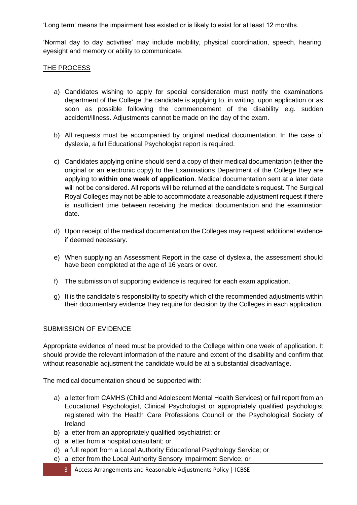'Long term' means the impairment has existed or is likely to exist for at least 12 months.

'Normal day to day activities' may include mobility, physical coordination, speech, hearing, eyesight and memory or ability to communicate.

# THE PROCESS

- a) Candidates wishing to apply for special consideration must notify the examinations department of the College the candidate is applying to, in writing, upon application or as soon as possible following the commencement of the disability e.g. sudden accident/illness. Adjustments cannot be made on the day of the exam.
- b) All requests must be accompanied by original medical documentation. In the case of dyslexia, a full Educational Psychologist report is required.
- c) Candidates applying online should send a copy of their medical documentation (either the original or an electronic copy) to the Examinations Department of the College they are applying to **within one week of application**. Medical documentation sent at a later date will not be considered. All reports will be returned at the candidate's request. The Surgical Royal Colleges may not be able to accommodate a reasonable adjustment request if there is insufficient time between receiving the medical documentation and the examination date.
- d) Upon receipt of the medical documentation the Colleges may request additional evidence if deemed necessary.
- e) When supplying an Assessment Report in the case of dyslexia, the assessment should have been completed at the age of 16 years or over.
- f) The submission of supporting evidence is required for each exam application.
- g) It is the candidate's responsibility to specify which of the recommended adjustments within their documentary evidence they require for decision by the Colleges in each application.

# SUBMISSION OF EVIDENCE

Appropriate evidence of need must be provided to the College within one week of application. It should provide the relevant information of the nature and extent of the disability and confirm that without reasonable adjustment the candidate would be at a substantial disadvantage.

The medical documentation should be supported with:

- a) a letter from CAMHS (Child and Adolescent Mental Health Services) or full report from an Educational Psychologist, Clinical Psychologist or appropriately qualified psychologist registered with the Health Care Professions Council or the Psychological Society of Ireland
- b) a letter from an appropriately qualified psychiatrist; or
- c) a letter from a hospital consultant; or
- d) a full report from a Local Authority Educational Psychology Service; or
- e) a letter from the Local Authority Sensory Impairment Service; or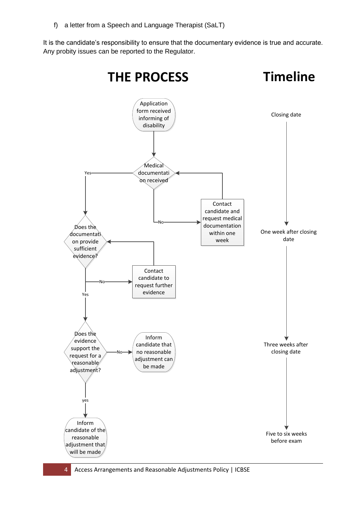f) a letter from a Speech and Language Therapist (SaLT)

It is the candidate's responsibility to ensure that the documentary evidence is true and accurate. Any probity issues can be reported to the Regulator.

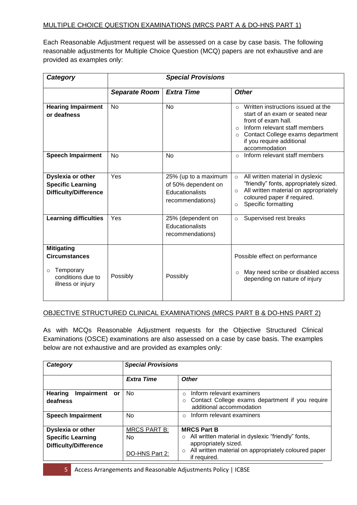## MULTIPLE CHOICE QUESTION EXAMINATIONS (MRCS PART A & DO-HNS PART 1)

Each Reasonable Adjustment request will be assessed on a case by case basis. The following reasonable adjustments for Multiple Choice Question (MCQ) papers are not exhaustive and are provided as examples only:

| Category                                                                                                    | <b>Special Provisions</b> |                                                                                    |                                                                                                                                                                                                                                                  |  |  |
|-------------------------------------------------------------------------------------------------------------|---------------------------|------------------------------------------------------------------------------------|--------------------------------------------------------------------------------------------------------------------------------------------------------------------------------------------------------------------------------------------------|--|--|
|                                                                                                             | <b>Separate Room</b>      | <b>Extra Time</b>                                                                  | <b>Other</b>                                                                                                                                                                                                                                     |  |  |
| <b>Hearing Impairment</b><br>or deafness                                                                    | <b>No</b>                 | <b>No</b>                                                                          | Written instructions issued at the<br>$\circ$<br>start of an exam or seated near<br>front of exam hall.<br>Inform relevant staff members<br>$\circ$<br>Contact College exams department<br>$\circ$<br>if you require additional<br>accommodation |  |  |
| <b>Speech Impairment</b>                                                                                    | <b>No</b>                 | <b>No</b>                                                                          | Inform relevant staff members<br>$\circ$                                                                                                                                                                                                         |  |  |
| Dyslexia or other<br><b>Specific Learning</b><br><b>Difficulty/Difference</b>                               | Yes                       | 25% (up to a maximum<br>of 50% dependent on<br>Educationalists<br>recommendations) | All written material in dyslexic<br>$\circ$<br>"friendly" fonts, appropriately sized.<br>All written material on appropriately<br>$\circ$<br>coloured paper if required.<br>Specific formatting<br>$\circ$                                       |  |  |
| <b>Learning difficulties</b>                                                                                | Yes                       | 25% (dependent on<br>Educationalists<br>recommendations)                           | Supervised rest breaks<br>$\circ$                                                                                                                                                                                                                |  |  |
| <b>Mitigating</b><br><b>Circumstances</b><br>Temporary<br>$\circ$<br>conditions due to<br>illness or injury | Possibly                  | Possibly                                                                           | Possible effect on performance<br>May need scribe or disabled access<br>$\circ$<br>depending on nature of injury                                                                                                                                 |  |  |

### OBJECTIVE STRUCTURED CLINICAL EXAMINATIONS (MRCS PART B & DO-HNS PART 2)

As with MCQs Reasonable Adjustment requests for the Objective Structured Clinical Examinations (OSCE) examinations are also assessed on a case by case basis. The examples below are not exhaustive and are provided as examples only:

| Category                                  | <b>Special Provisions</b> |                                                                                                         |  |
|-------------------------------------------|---------------------------|---------------------------------------------------------------------------------------------------------|--|
|                                           | <b>Extra Time</b>         | <b>Other</b>                                                                                            |  |
| <b>Hearing</b><br>Impairment<br><b>or</b> | <b>No</b>                 | Inform relevant examiners<br>$\Omega$                                                                   |  |
| deafness                                  |                           | Contact College exams department if you require<br>$\circ$<br>additional accommodation                  |  |
| <b>Speech Impairment</b>                  | No                        | Inform relevant examiners<br>$\Omega$                                                                   |  |
| <b>Dyslexia or other</b>                  | <b>MRCS PART B:</b>       | <b>MRCS Part B</b>                                                                                      |  |
| <b>Specific Learning</b>                  | No                        | All written material in dyslexic "friendly" fonts,<br>$\circ$                                           |  |
| <b>Difficulty/Difference</b>              | DO-HNS Part 2:            | appropriately sized.<br>All written material on appropriately coloured paper<br>$\circ$<br>if required. |  |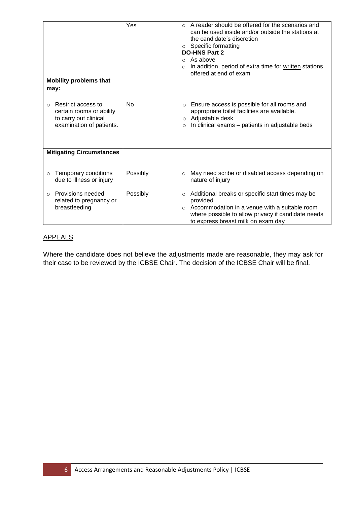|                                                                                                                         | Yes                  | A reader should be offered for the scenarios and<br>$\bigcirc$<br>can be used inside and/or outside the stations at<br>the candidate's discretion<br>Specific formatting<br>$\circ$<br><b>DO-HNS Part 2</b><br>As above<br>$\bigcirc$<br>In addition, period of extra time for written stations<br>$\circ$<br>offered at end of exam |
|-------------------------------------------------------------------------------------------------------------------------|----------------------|--------------------------------------------------------------------------------------------------------------------------------------------------------------------------------------------------------------------------------------------------------------------------------------------------------------------------------------|
| <b>Mobility problems that</b>                                                                                           |                      |                                                                                                                                                                                                                                                                                                                                      |
| may:<br>Restrict access to<br>$\Omega$<br>certain rooms or ability<br>to carry out clinical<br>examination of patients. | <b>No</b>            | Ensure access is possible for all rooms and<br>$\circ$<br>appropriate toilet facilities are available.<br>Adjustable desk<br>$\circ$<br>In clinical exams – patients in adjustable beds<br>$\circ$                                                                                                                                   |
| <b>Mitigating Circumstances</b>                                                                                         |                      |                                                                                                                                                                                                                                                                                                                                      |
| Temporary conditions<br>$\circ$<br>due to illness or injury<br>Provisions needed<br>$\Omega$                            | Possibly<br>Possibly | May need scribe or disabled access depending on<br>$\circ$<br>nature of injury<br>Additional breaks or specific start times may be<br>$\circ$                                                                                                                                                                                        |
| related to pregnancy or<br>breastfeeding                                                                                |                      | provided<br>Accommodation in a venue with a suitable room<br>$\Omega$<br>where possible to allow privacy if candidate needs<br>to express breast milk on exam day                                                                                                                                                                    |

# APPEALS

Where the candidate does not believe the adjustments made are reasonable, they may ask for their case to be reviewed by the ICBSE Chair. The decision of the ICBSE Chair will be final.